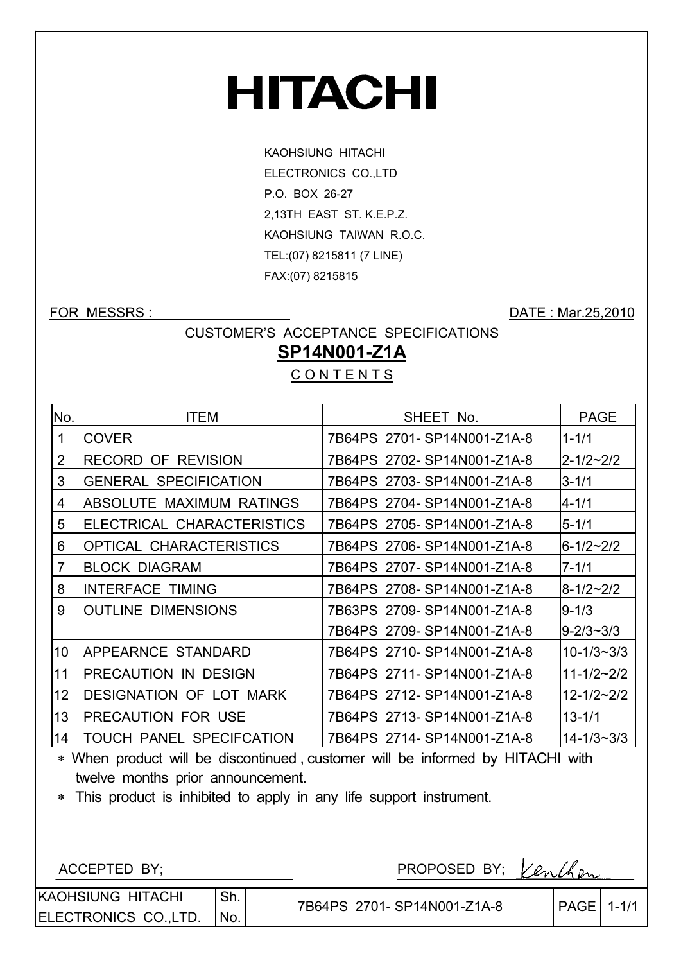# **HITACHI**

KAOHSIUNG HITACHI ELECTRONICS CO.,LTD P.O. BOX 26-27 2,13TH EAST ST. K.E.P.Z. KAOHSIUNG TAIWAN R.O.C. TEL:(07) 8215811 (7 LINE) FAX:(07) 8215815

FOR MESSRS : DATE : Mar.25,2010

CUSTOMER'S ACCEPTANCE SPECIFICATIONS

## **SP14N001-Z1A**

**CONTENTS** 

| No.               | <b>ITEM</b>                    | SHEET No.                  | <b>PAGE</b>        |
|-------------------|--------------------------------|----------------------------|--------------------|
| 1                 | <b>COVER</b>                   | 7B64PS 2701-SP14N001-Z1A-8 | $1 - 1/1$          |
| 2                 | <b>RECORD OF REVISION</b>      | 7B64PS 2702-SP14N001-Z1A-8 | $2 - 1/2 - 2/2$    |
| 3                 | <b>GENERAL SPECIFICATION</b>   | 7B64PS 2703-SP14N001-Z1A-8 | $3 - 1/1$          |
| 4                 | ABSOLUTE MAXIMUM RATINGS       | 7B64PS 2704-SP14N001-Z1A-8 | $4 - 1/1$          |
| 5                 | ELECTRICAL CHARACTERISTICS     | 7B64PS 2705-SP14N001-Z1A-8 | $5 - 1/1$          |
| 6                 | OPTICAL CHARACTERISTICS        | 7B64PS 2706-SP14N001-Z1A-8 | $6 - 1/2 \sim 2/2$ |
| 7                 | <b>BLOCK DIAGRAM</b>           | 7B64PS 2707-SP14N001-Z1A-8 | $7 - 1/1$          |
| 8                 | <b>INTERFACE TIMING</b>        | 7B64PS 2708-SP14N001-Z1A-8 | $8 - 1/2 - 2/2$    |
| 9                 | <b>OUTLINE DIMENSIONS</b>      | 7B63PS 2709-SP14N001-Z1A-8 | $9 - 1/3$          |
|                   |                                | 7B64PS 2709-SP14N001-Z1A-8 | $9 - 2/3 \sim 3/3$ |
| 10                | APPEARNCE STANDARD             | 7B64PS 2710-SP14N001-Z1A-8 | $10 - 1/3 - 3/3$   |
| 11                | PRECAUTION IN DESIGN           | 7B64PS 2711-SP14N001-Z1A-8 | $11 - 1/2 - 2/2$   |
| $12 \overline{ }$ | <b>DESIGNATION OF LOT MARK</b> | 7B64PS 2712-SP14N001-Z1A-8 | $12 - 1/2 - 2/2$   |
| 13                | <b>PRECAUTION FOR USE</b>      | 7B64PS 2713-SP14N001-Z1A-8 | $13 - 1/1$         |
| 14                | TOUCH PANEL SPECIFCATION       | 7B64PS 2714-SP14N001-Z1A-8 | $14 - 1/3 - 3/3$   |

 When product will be discontinued , customer will be informed by HITACHI with twelve months prior announcement.

This product is inhibited to apply in any life support instrument.

ACCEPTED BY;  $\sqrt{ln(h_{\text{max}})}$ 

KAOHSIUNG HITACHI ELECTRONICS CO.,LTD. Sh. No.

7B64PS 2701-SP14N001-Z1A-8 | PAGE 1-1/1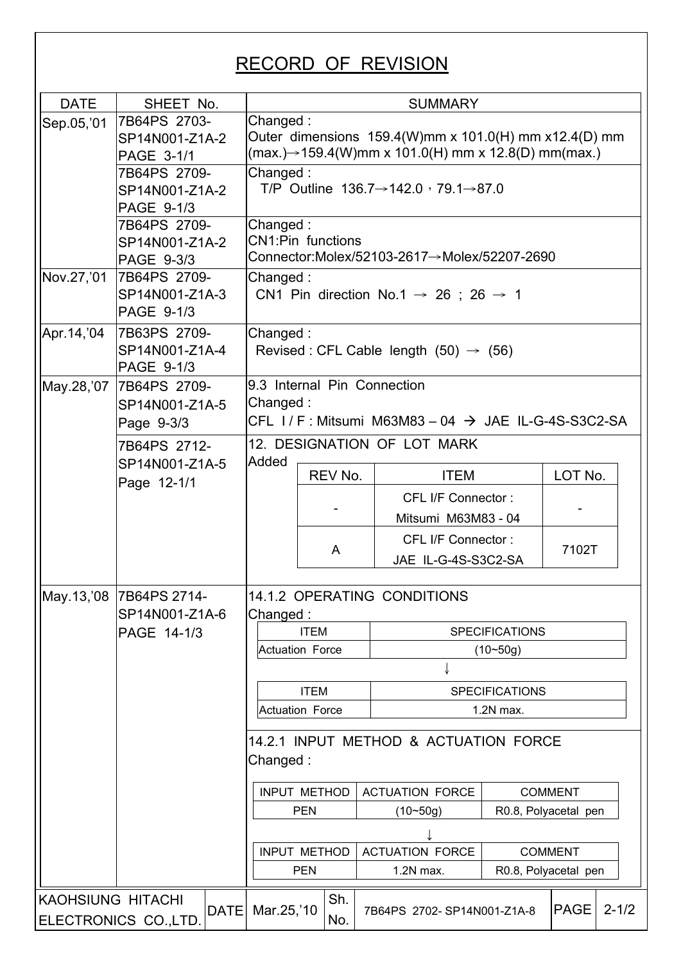# RECORD OF REVISION

| <b>DATE</b>              | SHEET No.                  |      |                                                                 | <b>SUMMARY</b> |         |  |                                                                   |                       |             |           |
|--------------------------|----------------------------|------|-----------------------------------------------------------------|----------------|---------|--|-------------------------------------------------------------------|-----------------------|-------------|-----------|
| Sep.05,'01               | 7B64PS 2703-               |      | Changed:                                                        |                |         |  |                                                                   |                       |             |           |
|                          | SP14N001-Z1A-2             |      |                                                                 |                |         |  | Outer dimensions $159.4(W)$ mm x $101.0(H)$ mm x12.4(D) mm        |                       |             |           |
|                          | PAGE 3-1/1                 |      |                                                                 |                |         |  | $(max.)\rightarrow 159.4(W)$ mm x 101.0(H) mm x 12.8(D) mm(max.)  |                       |             |           |
|                          | 7B64PS 2709-               |      | Changed:                                                        |                |         |  |                                                                   |                       |             |           |
|                          | SP14N001-Z1A-2             |      | T/P Outline $136.7 \rightarrow 142.0$ , $79.1 \rightarrow 87.0$ |                |         |  |                                                                   |                       |             |           |
|                          | PAGE 9-1/3<br>7B64PS 2709- |      |                                                                 |                |         |  |                                                                   |                       |             |           |
|                          | SP14N001-Z1A-2             |      | Changed:<br><b>CN1:Pin functions</b>                            |                |         |  |                                                                   |                       |             |           |
|                          | PAGE 9-3/3                 |      | Connector:Molex/52103-2617→Molex/52207-2690                     |                |         |  |                                                                   |                       |             |           |
| Nov.27,'01               | 7B64PS 2709-               |      | Changed:                                                        |                |         |  |                                                                   |                       |             |           |
|                          | SP14N001-Z1A-3             |      |                                                                 |                |         |  | CN1 Pin direction No.1 $\rightarrow$ 26 ; 26 $\rightarrow$ 1      |                       |             |           |
|                          | PAGE 9-1/3                 |      |                                                                 |                |         |  |                                                                   |                       |             |           |
| Apr. 14, '04             | 7B63PS 2709-               |      | Changed:                                                        |                |         |  |                                                                   |                       |             |           |
|                          | SP14N001-Z1A-4             |      |                                                                 |                |         |  | Revised: CFL Cable length $(50) \rightarrow (56)$                 |                       |             |           |
|                          | PAGE 9-1/3                 |      |                                                                 |                |         |  |                                                                   |                       |             |           |
| May.28, '07              | 7B64PS 2709-               |      | 9.3 Internal Pin Connection                                     |                |         |  |                                                                   |                       |             |           |
|                          | SP14N001-Z1A-5             |      | Changed:                                                        |                |         |  |                                                                   |                       |             |           |
|                          | Page 9-3/3                 |      |                                                                 |                |         |  | CFL $1/F$ : Mitsumi M63M83 - 04 $\rightarrow$ JAE IL-G-4S-S3C2-SA |                       |             |           |
|                          | 7B64PS 2712-               |      |                                                                 |                |         |  | 12. DESIGNATION OF LOT MARK                                       |                       |             |           |
|                          | SP14N001-Z1A-5             |      | Added                                                           |                |         |  |                                                                   |                       |             |           |
|                          | Page 12-1/1                |      |                                                                 |                | REV No. |  | <b>ITEM</b>                                                       |                       | LOT No.     |           |
|                          |                            |      |                                                                 |                |         |  | CFL I/F Connector:                                                |                       |             |           |
|                          |                            |      |                                                                 |                |         |  | Mitsumi M63M83 - 04                                               |                       |             |           |
|                          |                            |      |                                                                 |                |         |  | <b>CFL I/F Connector:</b>                                         |                       |             |           |
|                          |                            |      |                                                                 |                | A       |  | JAE IL-G-4S-S3C2-SA                                               |                       | 7102T       |           |
|                          |                            |      |                                                                 |                |         |  |                                                                   |                       |             |           |
|                          | May.13,'08 7B64PS 2714-    |      |                                                                 |                |         |  | <b>14.1.2 OPERATING CONDITIONS</b>                                |                       |             |           |
|                          | SP14N001-Z1A-6             |      | Changed:                                                        |                |         |  |                                                                   |                       |             |           |
|                          | PAGE 14-1/3                |      |                                                                 | <b>ITEM</b>    |         |  |                                                                   | <b>SPECIFICATIONS</b> |             |           |
|                          |                            |      | <b>Actuation Force</b>                                          |                |         |  |                                                                   | $(10 - 50g)$          |             |           |
|                          |                            |      |                                                                 |                |         |  |                                                                   |                       |             |           |
|                          |                            |      |                                                                 | <b>ITEM</b>    |         |  |                                                                   | <b>SPECIFICATIONS</b> |             |           |
|                          |                            |      | <b>Actuation Force</b>                                          |                |         |  |                                                                   | 1.2N max.             |             |           |
|                          |                            |      |                                                                 |                |         |  |                                                                   |                       |             |           |
|                          |                            |      |                                                                 |                |         |  | 14.2.1 INPUT METHOD & ACTUATION FORCE                             |                       |             |           |
|                          |                            |      | Changed:                                                        |                |         |  |                                                                   |                       |             |           |
|                          |                            |      | <b>INPUT METHOD</b><br><b>ACTUATION FORCE</b><br><b>COMMENT</b> |                |         |  |                                                                   |                       |             |           |
|                          |                            |      | <b>PEN</b><br>$(10 - 50g)$<br>R0.8, Polyacetal pen              |                |         |  |                                                                   |                       |             |           |
|                          |                            |      |                                                                 |                |         |  |                                                                   |                       |             |           |
|                          |                            |      | <b>INPUT METHOD</b><br><b>ACTUATION FORCE</b><br><b>COMMENT</b> |                |         |  |                                                                   |                       |             |           |
|                          |                            |      | <b>PEN</b><br>R0.8, Polyacetal pen<br>1.2N max.                 |                |         |  |                                                                   |                       |             |           |
|                          |                            |      |                                                                 |                |         |  |                                                                   |                       |             |           |
| <b>KAOHSIUNG HITACHI</b> |                            | DATE | Mar.25,'10                                                      |                | Sh.     |  | 7B64PS 2702-SP14N001-Z1A-8                                        |                       | <b>PAGE</b> | $2 - 1/2$ |
|                          | ELECTRONICS CO., LTD.      |      |                                                                 |                | No.     |  |                                                                   |                       |             |           |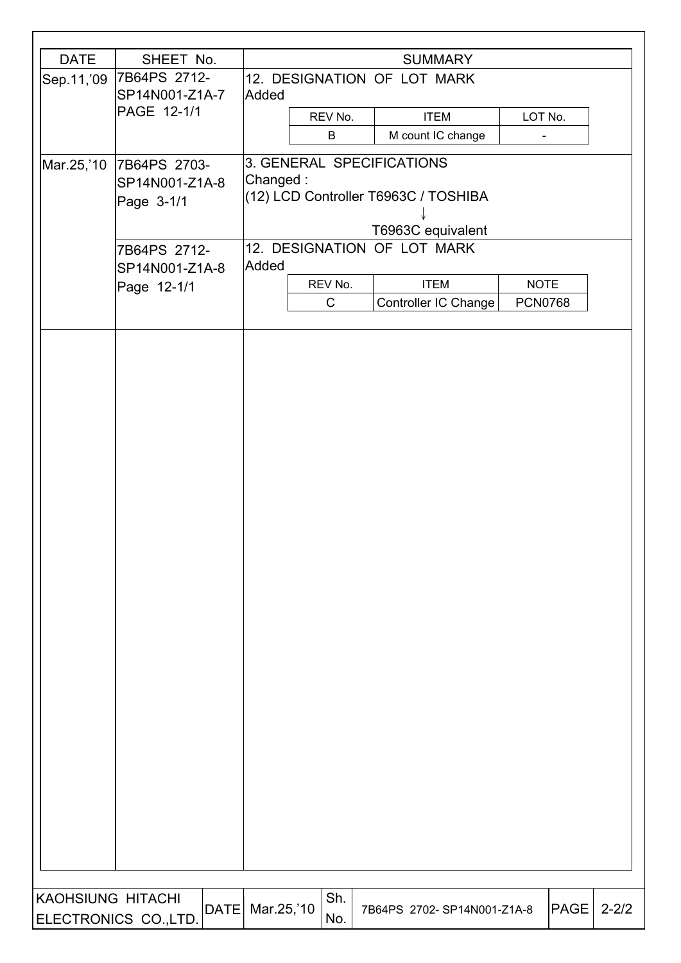| <b>DATE</b>              | SHEET No.            | <b>SUMMARY</b> |                             |  |                                      |                              |      |           |  |
|--------------------------|----------------------|----------------|-----------------------------|--|--------------------------------------|------------------------------|------|-----------|--|
| Sep.11,'09               | 7B64PS 2712-         |                | 12. DESIGNATION OF LOT MARK |  |                                      |                              |      |           |  |
|                          | SP14N001-Z1A-7       | Added          |                             |  |                                      |                              |      |           |  |
|                          | PAGE 12-1/1          |                | REV No.                     |  | <b>ITEM</b>                          | LOT No.                      |      |           |  |
|                          |                      |                | B                           |  | M count IC change                    | $\qquad \qquad \blacksquare$ |      |           |  |
| Mar.25,'10               | 7B64PS 2703-         |                |                             |  | 3. GENERAL SPECIFICATIONS            |                              |      |           |  |
|                          | SP14N001-Z1A-8       | Changed:       |                             |  |                                      |                              |      |           |  |
|                          | Page 3-1/1           |                |                             |  | (12) LCD Controller T6963C / TOSHIBA |                              |      |           |  |
|                          |                      |                |                             |  | T6963C equivalent                    |                              |      |           |  |
|                          | 7B64PS 2712-         |                |                             |  | 12. DESIGNATION OF LOT MARK          |                              |      |           |  |
|                          | SP14N001-Z1A-8       | Added          |                             |  |                                      |                              |      |           |  |
|                          | Page 12-1/1          |                | REV No.                     |  | <b>ITEM</b>                          | <b>NOTE</b>                  |      |           |  |
|                          |                      |                | $\mathsf C$                 |  | Controller IC Change                 | <b>PCN0768</b>               |      |           |  |
|                          |                      |                |                             |  |                                      |                              |      |           |  |
|                          |                      |                |                             |  |                                      |                              |      |           |  |
|                          |                      |                |                             |  |                                      |                              |      |           |  |
|                          |                      |                |                             |  |                                      |                              |      |           |  |
|                          |                      |                |                             |  |                                      |                              |      |           |  |
|                          |                      |                |                             |  |                                      |                              |      |           |  |
|                          |                      |                |                             |  |                                      |                              |      |           |  |
|                          |                      |                |                             |  |                                      |                              |      |           |  |
|                          |                      |                |                             |  |                                      |                              |      |           |  |
|                          |                      |                |                             |  |                                      |                              |      |           |  |
|                          |                      |                |                             |  |                                      |                              |      |           |  |
|                          |                      |                |                             |  |                                      |                              |      |           |  |
|                          |                      |                |                             |  |                                      |                              |      |           |  |
|                          |                      |                |                             |  |                                      |                              |      |           |  |
|                          |                      |                |                             |  |                                      |                              |      |           |  |
|                          |                      |                |                             |  |                                      |                              |      |           |  |
|                          |                      |                |                             |  |                                      |                              |      |           |  |
|                          |                      |                |                             |  |                                      |                              |      |           |  |
|                          |                      |                |                             |  |                                      |                              |      |           |  |
|                          |                      |                |                             |  |                                      |                              |      |           |  |
|                          |                      |                |                             |  |                                      |                              |      |           |  |
|                          |                      |                |                             |  |                                      |                              |      |           |  |
|                          |                      |                |                             |  |                                      |                              |      |           |  |
|                          |                      |                |                             |  |                                      |                              |      |           |  |
|                          |                      |                |                             |  |                                      |                              |      |           |  |
|                          |                      |                |                             |  |                                      |                              |      |           |  |
|                          |                      |                |                             |  |                                      |                              |      |           |  |
|                          |                      |                |                             |  |                                      |                              |      |           |  |
|                          |                      |                |                             |  |                                      |                              |      |           |  |
|                          |                      |                |                             |  |                                      |                              |      |           |  |
| <b>KAOHSIUNG HITACHI</b> | $ \text{DATE} $      | Mar.25,'10     | Sh.                         |  | 7B64PS 2702-SP14N001-Z1A-8           |                              | PAGE | $2 - 2/2$ |  |
|                          | ELECTRONICS CO.,LTD. |                | No.                         |  |                                      |                              |      |           |  |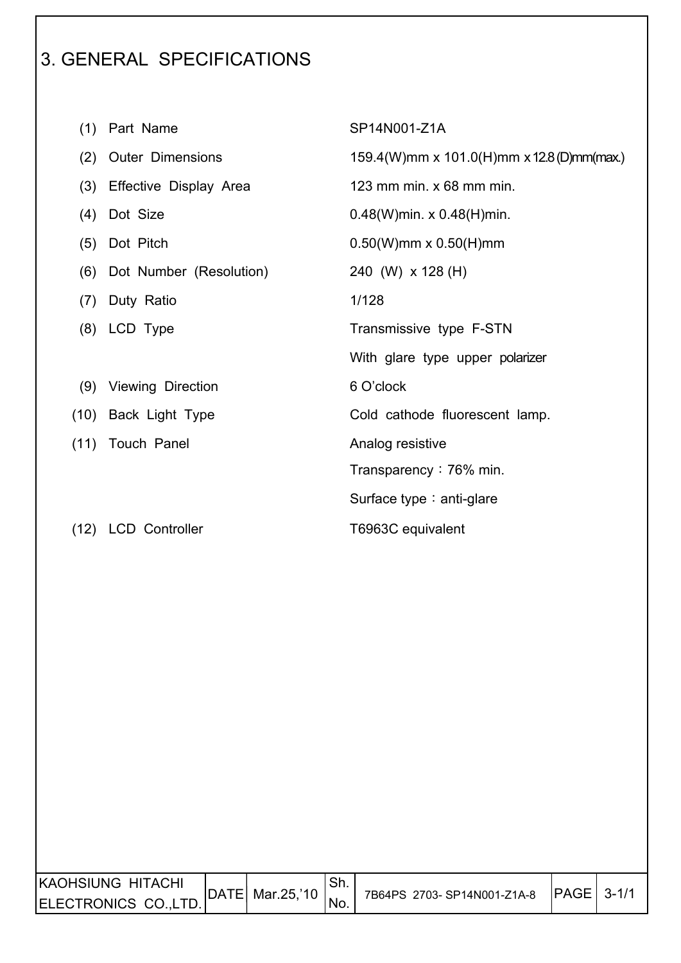# 3. GENERAL SPECIFICATIONS

 $\overline{\phantom{a}}$ 

| (1)  | Part Name                | SP14N001-Z1A                              |
|------|--------------------------|-------------------------------------------|
| (2)  | <b>Outer Dimensions</b>  | 159.4(W)mm x 101.0(H)mm x 12.8(D)mm(max.) |
| (3)  | Effective Display Area   | 123 mm min. $x$ 68 mm min.                |
| (4)  | Dot Size                 | $0.48(W)$ min. x $0.48(H)$ min.           |
| (5)  | Dot Pitch                | $0.50(W)$ mm x $0.50(H)$ mm               |
| (6)  | Dot Number (Resolution)  | 240 (W) x 128 (H)                         |
| (7)  | Duty Ratio               | 1/128                                     |
| (8)  | LCD Type                 | Transmissive type F-STN                   |
|      |                          | With glare type upper polarizer           |
| (9)  | <b>Viewing Direction</b> | 6 O'clock                                 |
|      | (10) Back Light Type     | Cold cathode fluorescent lamp.            |
| (11) | Touch Panel              | Analog resistive                          |
|      |                          | Transparency $: 76\%$ min.                |
|      |                          | Surface type $:$ anti-glare               |
| (12) | <b>LCD Controller</b>    | T6963C equivalent                         |

| KAOHSIUNG HITACHI    | DATE  Mar.25,'10 | 'Sh. | 7B64PS 2703-SP14N001-Z1A-8 | PAGE | $3 - 1/1$ |
|----------------------|------------------|------|----------------------------|------|-----------|
| ELECTRONICS CO.,LTD. |                  | 'No. |                            |      |           |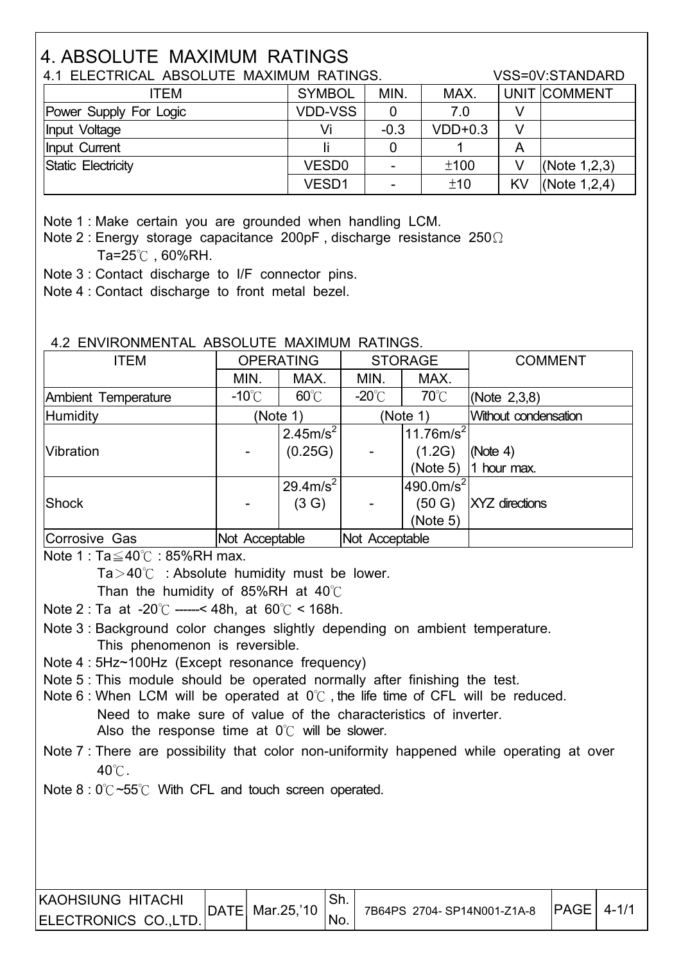# 4. ABSOLUTE MAXIMUM RATINGS

| 4.1 ELECTRICAL ABSOLUTE MAXIMUM RATINGS. | VSS=0V:STANDARD   |        |           |              |                 |
|------------------------------------------|-------------------|--------|-----------|--------------|-----------------|
| ITEM                                     | MIN.              | MAX.   |           | UNIT COMMENT |                 |
| Power Supply For Logic                   | <b>VDD-VSS</b>    | 0      | 7.0       |              |                 |
| Input Voltage                            | Vi                | $-0.3$ | $VDD+0.3$ | V            |                 |
| Input Current                            |                   |        |           | A            |                 |
| Static Electricity                       | VESD <sub>0</sub> |        | ±100      | V            | (Note $1,2,3$ ) |
|                                          | VESD1             |        | ±10       | <b>KV</b>    | (Note $1,2,4$ ) |

Note 1 : Make certain you are grounded when handling LCM.

Note 2 : Energy storage capacitance 200pF, discharge resistance  $250\Omega$ Ta= $25^\circ$ C, 60%RH.

Note 3 : Contact discharge to I/F connector pins.

Note 4 : Contact discharge to front metal bezel.

#### 4.2 ENVIRONMENTAL ABSOLUTE MAXIMUM RATINGS.

| <b>ITEM</b>         |                 | <b>OPERATING</b>      |                  | <b>STORAGE</b>        | <b>COMMENT</b>        |
|---------------------|-----------------|-----------------------|------------------|-----------------------|-----------------------|
|                     | MIN.            | MAX.                  | MIN.             | MAX.                  |                       |
| Ambient Temperature | $-10^{\circ}$ C | $60^{\circ}$ C        | -20 $^{\circ}$ C | $70^{\circ}$ C        | (Note $2,3,8$ )       |
| Humidity            |                 | (Note 1)              |                  | (Note 1)              | Without condensation  |
|                     |                 | 12.45m/s <sup>2</sup> |                  | 11.76 $m/s^2$         |                       |
| <b>Vibration</b>    |                 | (0.25G)               |                  | (1.2G)                | (Note 4)              |
|                     |                 |                       |                  | (Note 5)              | 1 hour max.           |
|                     |                 | $29.4 \text{m/s}^2$   |                  | 490.0m/s <sup>2</sup> |                       |
| Shock               |                 | (3 G)                 |                  | (50 G)                | <b>XYZ</b> directions |
|                     |                 |                       |                  | (Note 5)              |                       |
| Corrosive Gas       | Not Acceptable  |                       | Not Acceptable   |                       |                       |

Note 1 : Ta $\leq$ 40°C : 85%RH max.

 $Ta > 40^{\circ}$  : Absolute humidity must be lower.

Than the humidity of 85%RH at  $40^{\circ}$ C

Note 2 : Ta at -20°C -----< 48h, at  $60^{\circ}$ C < 168h.

 Note 3 : Background color changes slightly depending on ambient temperature. This phenomenon is reversible.

Note 4 : 5Hz~100Hz (Except resonance frequency)

Note 5 : This module should be operated normally after finishing the test.

Note 6 : When LCM will be operated at  $0^{\circ}$  the life time of CFL will be reduced. Need to make sure of value of the characteristics of inverter. Also the response time at  $0^{\circ}$  will be slower.

 Note 7 : There are possibility that color non-uniformity happened while operating at over  $40^{\circ}$ .

Note  $8:0^{\circ}\text{C}$  ~55°C With CFL and touch screen operated.

| IKAOHSIUNG HITACHI   | $ $ DATE   Mar.25,'10 |     |                            | $ PAGE $ 4-1/1 |  |
|----------------------|-----------------------|-----|----------------------------|----------------|--|
| ELECTRONICS CO.,LTD. |                       | No. | 7B64PS 2704-SP14N001-Z1A-8 |                |  |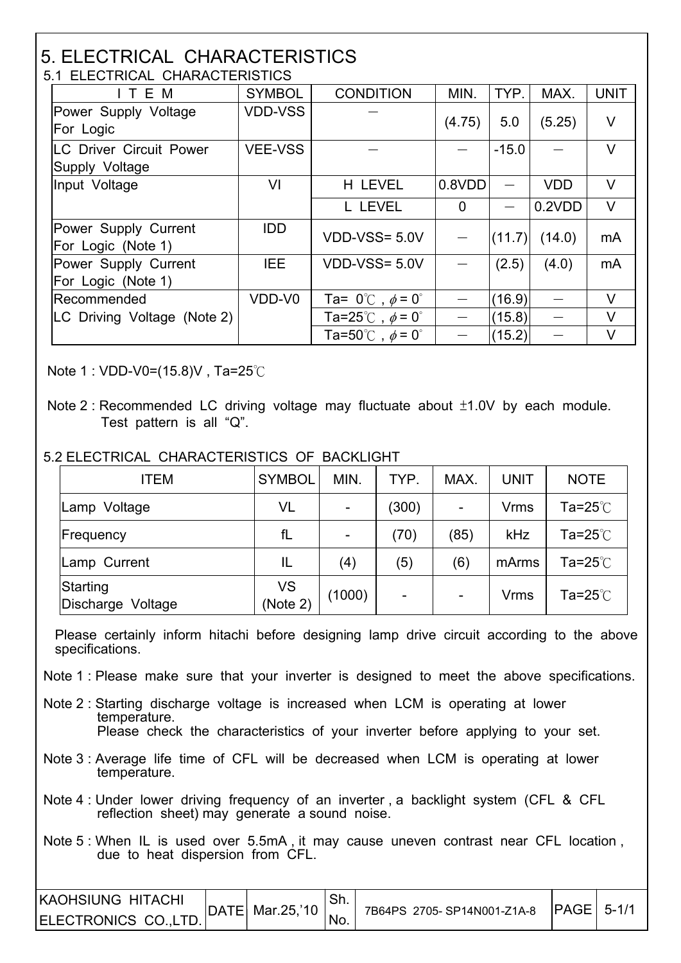#### 5. ELECTRICAL CHARACTERISTICS 5.1 ELECTRICAL CHARACTERISTICS

| ITEM                                       | <b>SYMBOL</b>  | <b>CONDITION</b>                        | MIN.                     | TYP.              | MAX.       | <b>UNIT</b>    |
|--------------------------------------------|----------------|-----------------------------------------|--------------------------|-------------------|------------|----------------|
| Power Supply Voltage                       | <b>VDD-VSS</b> |                                         | (4.75)                   | 5.0               | (5.25)     | V              |
| For Logic                                  |                |                                         |                          |                   |            |                |
| <b>LC Driver Circuit Power</b>             | <b>VEE-VSS</b> |                                         | $\hspace{0.05cm}$        | $-15.0$           |            | $\vee$         |
| Supply Voltage                             |                |                                         |                          |                   |            |                |
| Input Voltage                              | VI             | H LEVEL                                 | 0.8VDD                   |                   | <b>VDD</b> | V              |
|                                            |                | L LEVEL                                 | $\mathbf 0$              | $\qquad \qquad -$ | 0.2VDD     | V              |
| Power Supply Current<br>For Logic (Note 1) | IDD.           | VDD-VSS= 5.0V                           |                          | (11.7)            | (14.0)     | mA             |
| Power Supply Current<br>For Logic (Note 1) | <b>IEE</b>     | $VDD-VSS = 5.0V$                        |                          | (2.5)             | (4.0)      | m <sub>A</sub> |
| Recommended                                | VDD-V0         | Ta= $0^{\circ}$ C, $\phi$ = $0^{\circ}$ |                          | (16.9)            |            | V              |
| LC Driving Voltage (Note 2)                |                | Ta=25°C, $\phi$ = 0°                    |                          | (15.8)            |            | $\vee$         |
|                                            |                | Ta=50°C, $\phi$ = 0°                    | $\overline{\phantom{m}}$ | (15.2)            |            | V              |

Note 1 : VDD-V0=(15.8)V . Ta=25 $\degree$ C

 $\overline{\phantom{a}}$ 

 $\overline{\phantom{a}}$ 

#### 5.2 ELECTRICAL CHARACTERISTICS OF BACKLIGHT

| <b>ITEM</b>                      | <b>SYMBOL</b>  | MIN.   | TYP.                     | MAX.                     | <b>UNIT</b> | <b>NOTE</b>             |
|----------------------------------|----------------|--------|--------------------------|--------------------------|-------------|-------------------------|
| Voltage<br>Lamp                  | VL             |        | (300)                    | $\overline{\phantom{a}}$ | <b>Vrms</b> | Ta=25 $^\circ\!{\rm C}$ |
| Frequency                        | fL             |        | (70)                     | (85)                     | kHz         | Ta=25 $^\circ\!{\rm C}$ |
| Lamp Current                     | IL             | (4)    | (5)                      | (6)                      | mArms       | Ta=25 $^\circ\!{\rm C}$ |
| Starting<br>Discharge<br>Voltage | VS<br>(Note 2) | (1000) | $\overline{\phantom{a}}$ | $\blacksquare$           | <b>Vrms</b> | Ta=25 $\degree$ C       |

 Please certainly inform hitachi before designing lamp drive circuit according to the above specifications.

- Note 1 : Please make sure that your inverter is designed to meet the above specifications.
- Note 2 : Starting discharge voltage is increased when LCM is operating at lower temperature. Please check the characteristics of your inverter before applying to your set.
- Note 3 : Average life time of CFL will be decreased when LCM is operating at lower temperature.
- Note 4 : Under lower driving frequency of an inverter , a backlight system (CFL & CFL reflection sheet) may generate a sound noise.
- Note 5 : When IL is used over 5.5mA , it may cause uneven contrast near CFL location , due to heat dispersion from CFL.

| <b>IKAOHSIUNG HITACHI</b> | DATE  Mar.25,'10 ⊥. |                            | $ PAGE  5-1/$ |  |
|---------------------------|---------------------|----------------------------|---------------|--|
| ELECTRONICS CO., LTD.     |                     | 7B64PS 2705-SP14N001-Z1A-8 |               |  |

Note 2 : Recommended LC driving voltage may fluctuate about  $\pm$ 1.0V by each module. Test pattern is all "Q".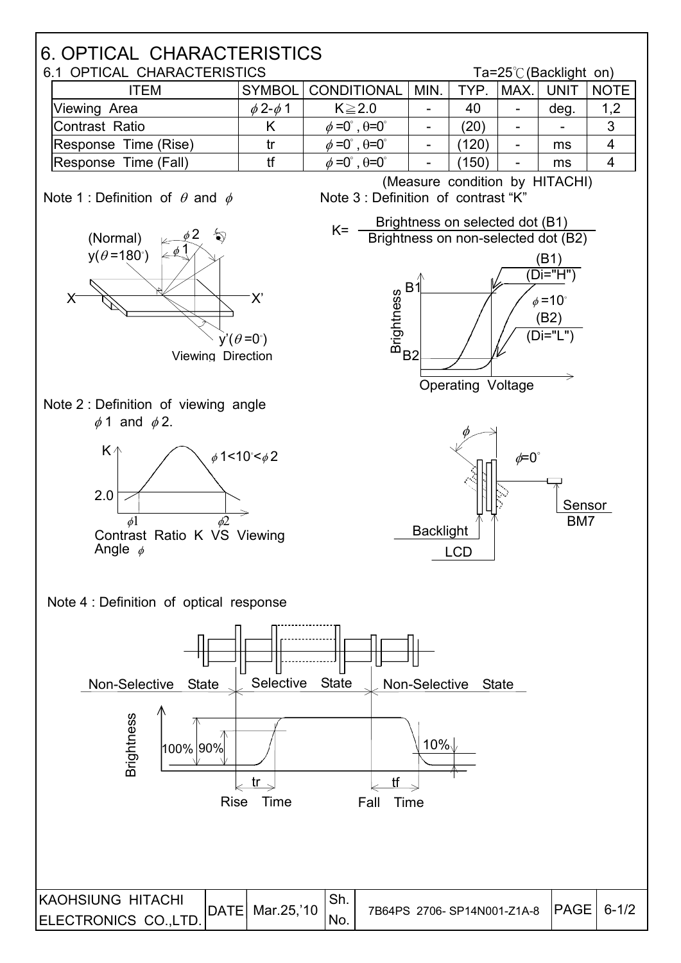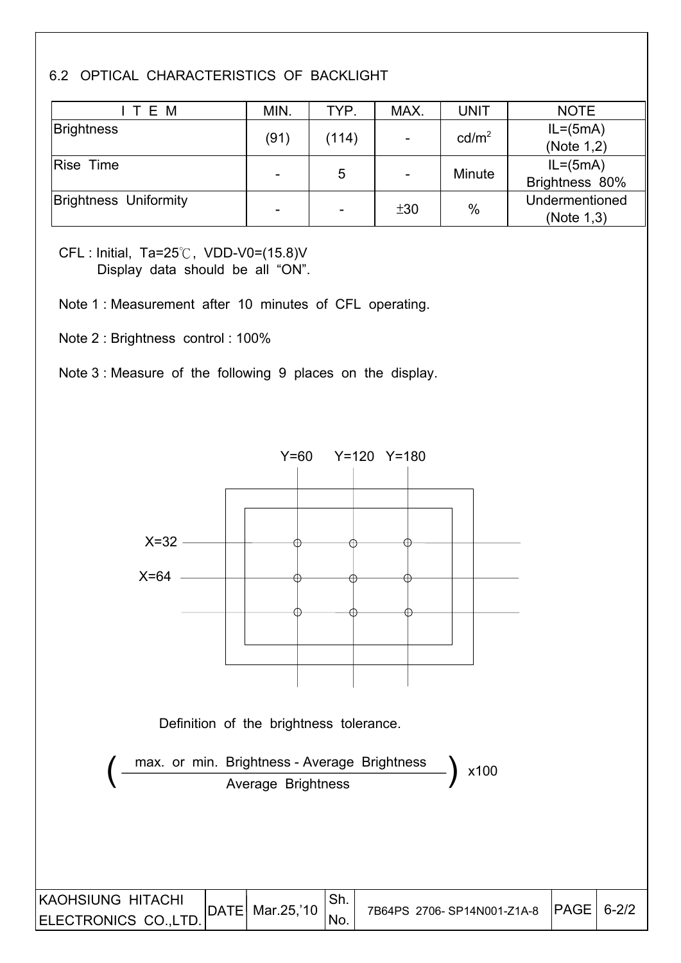#### 6.2 OPTICAL CHARACTERISTICS OF BACKLIGHT

| ITEM                         | MIN.                     | TYP.  | MAX. | <b>UNIT</b>       | <b>NOTE</b>    |
|------------------------------|--------------------------|-------|------|-------------------|----------------|
| <b>Brightness</b>            |                          |       |      | cd/m <sup>2</sup> | $IL = (5mA)$   |
|                              | (91)                     | (114) |      |                   | (Note 1,2)     |
| Rise Time                    |                          |       |      | Minute            | $IL = (5mA)$   |
|                              | -                        | 5     |      |                   | Brightness 80% |
| <b>Brightness Uniformity</b> |                          |       | ±30  | $\%$              | Undermentioned |
|                              | $\overline{\phantom{a}}$ | -     |      |                   | (Note 1,3)     |

CFL : Initial, Ta=25°C, VDD-V0=(15.8)V Display data should be all "ON".

Note 1 : Measurement after 10 minutes of CFL operating.

Note 2 : Brightness control : 100%

Note 3 : Measure of the following 9 places on the display.

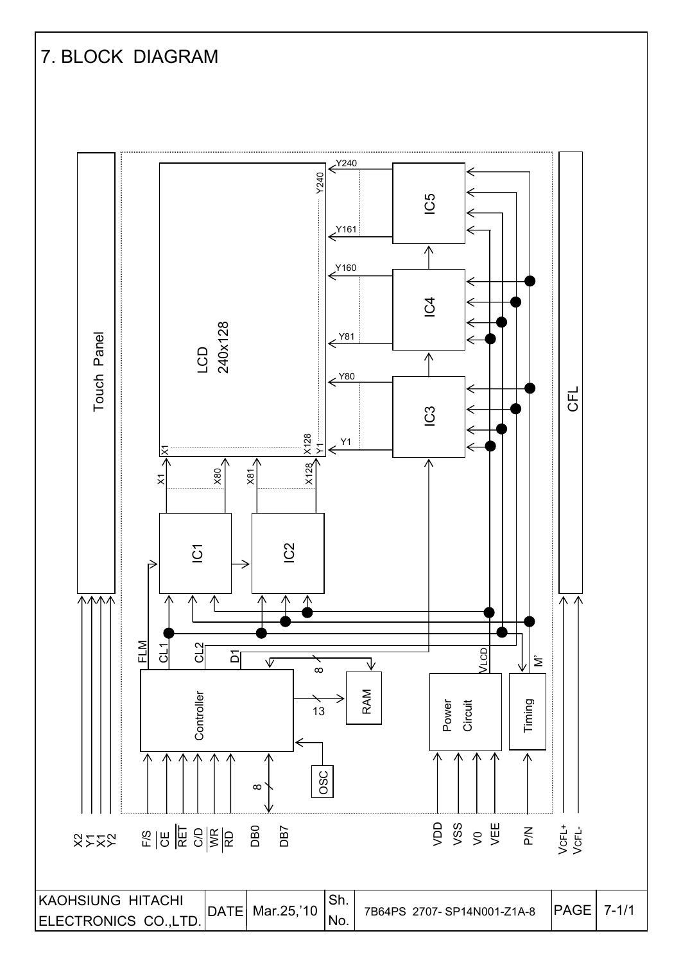# 7. BLOCK DIAGRAM

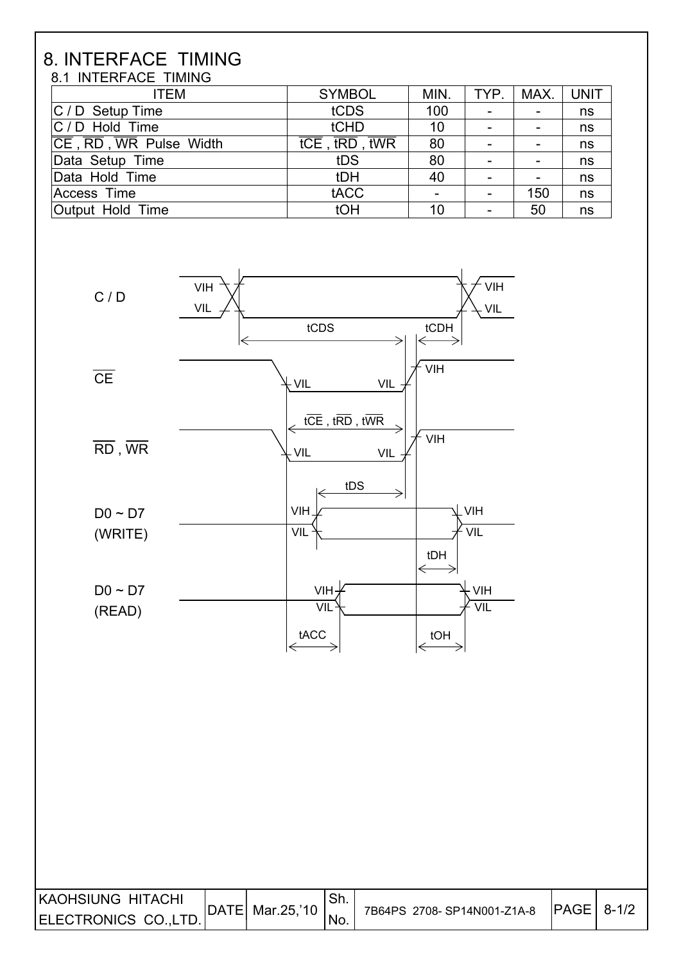#### 8. INTERFACE TIMING 8.1 INTERFACE TIMING

| <b>ITEM</b>            | <b>SYMBOL</b>                                                                     | MIN. | TYP.                     | MAX. | UNIT |
|------------------------|-----------------------------------------------------------------------------------|------|--------------------------|------|------|
| $ C / D$ Setup Time    | tCDS                                                                              | 100  | $\overline{\phantom{a}}$ |      | ns   |
| $ C/D $ Hold Time      | tCHD                                                                              | 10   | $\overline{\phantom{0}}$ |      | ns   |
| CE, RD, WR Pulse Width | $\overline{\mathsf{tCE}}$ , $\overline{\mathsf{tRD}}$ , $\overline{\mathsf{tWR}}$ | 80   | $\overline{\phantom{a}}$ |      | ns   |
| Data Setup Time        | tDS                                                                               | 80   |                          |      | ns   |
| Data Hold Time         | tDH                                                                               | 40   | $\overline{\phantom{a}}$ |      | ns   |
| Access Time            | tACC                                                                              |      | -                        | 150  | ns   |
| Output Hold Time       | tOH                                                                               | 10   | $\overline{\phantom{a}}$ | 50   | ns   |



| IKAOHSIUNG HITACHI   |                   | Sh. |                            | $ PAGE $ 8-1/2 |  |
|----------------------|-------------------|-----|----------------------------|----------------|--|
| ELECTRONICS CO.,LTD. | DATE  Mar.25,'10_ | NO. | 7B64PS 2708-SP14N001-Z1A-8 |                |  |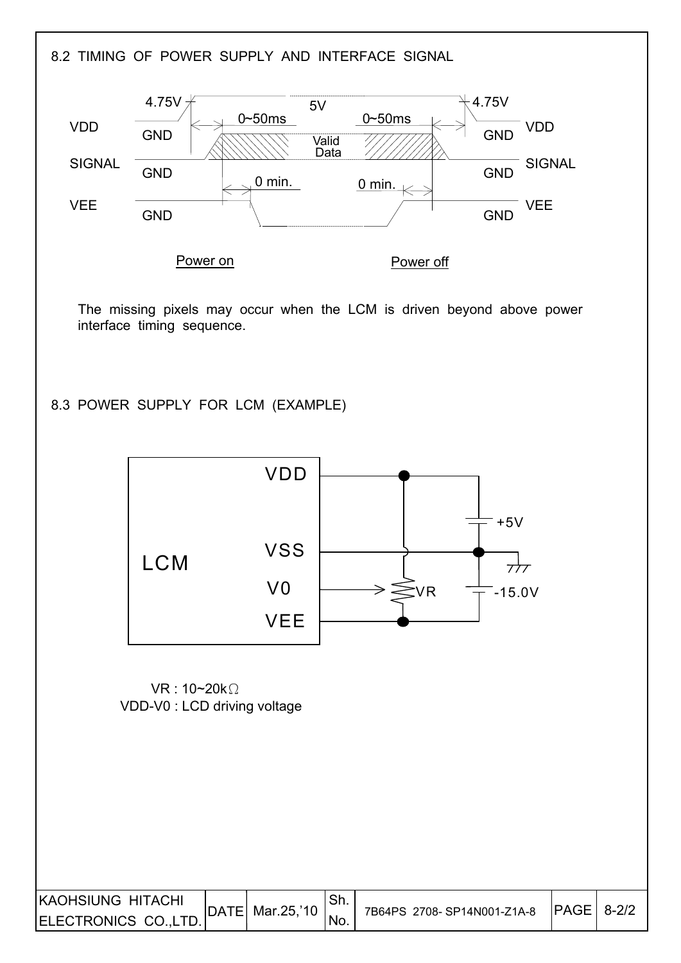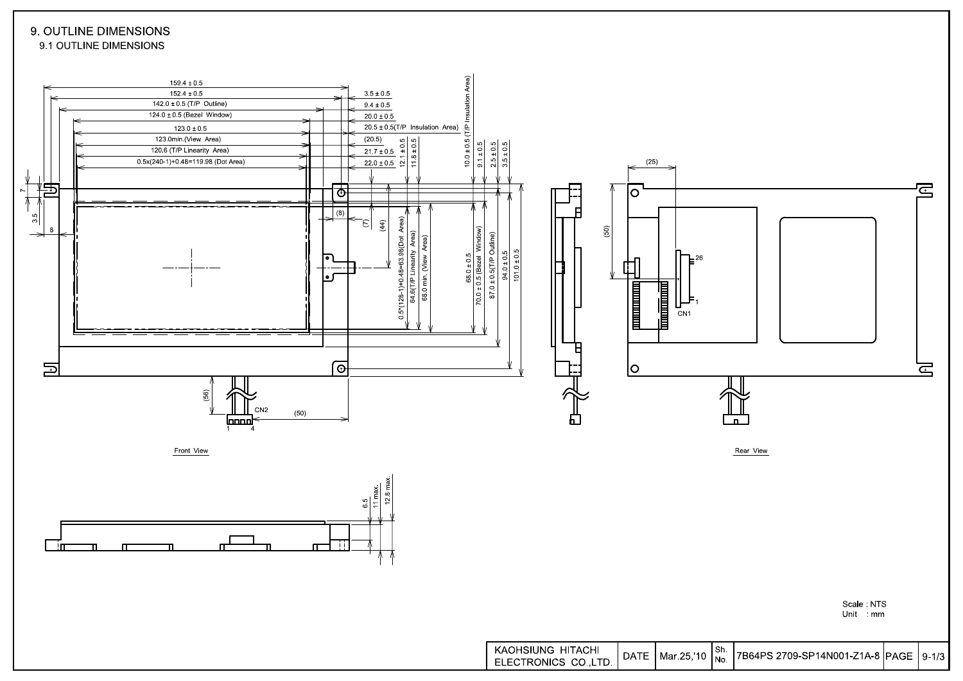#### 9. OUTLINE DIMENSIONS 9.1 OUTLINE DIMENSIONS

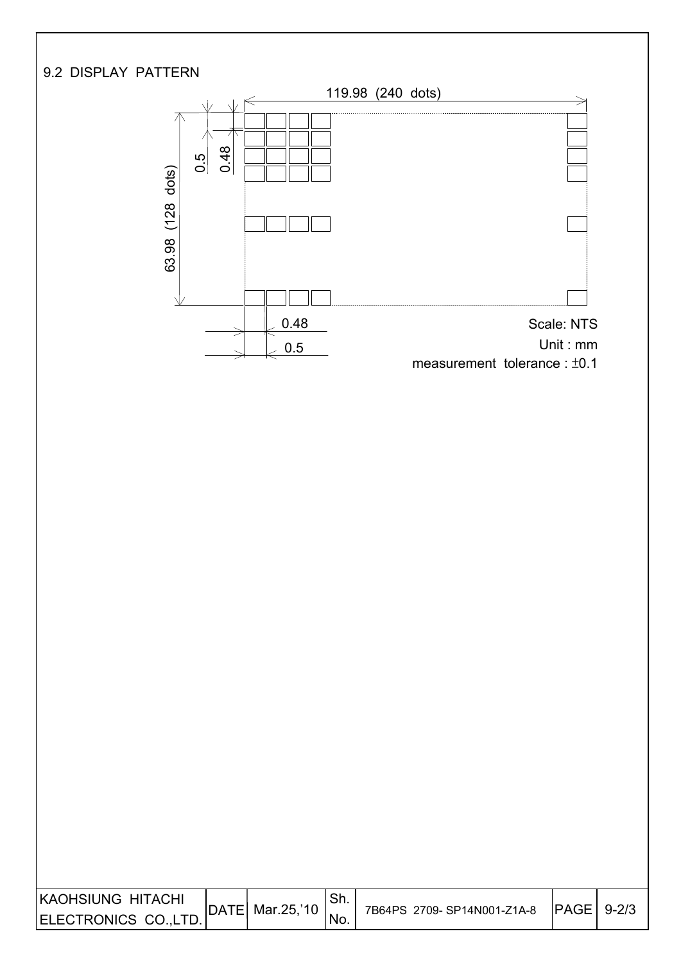

 $0.5$ 

0.48

乁

I I

 $\overline{\phantom{a}}$ 



| KAOHSIUNG HITACHI     | DATE | Mar.25,'10 | Sh. | 7B64PS 2709-SP14N001-Z1A-8 | <b>PAGE</b> | $9 - 2/3$ |
|-----------------------|------|------------|-----|----------------------------|-------------|-----------|
| ELECTRONICS CO., LTD. |      |            | No. |                            |             |           |
|                       |      |            |     |                            |             |           |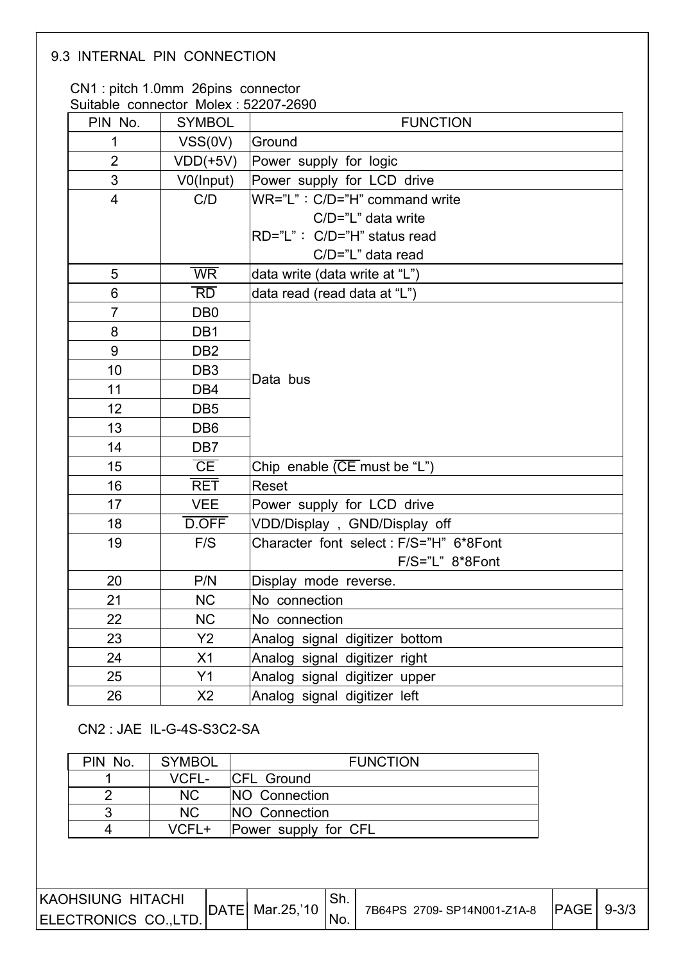#### 9.3 INTERNAL PIN CONNECTION

I

I

#### CN1 : pitch 1.0mm 26pins connector Suitable connector Molex : 52207-2690

| Suitable connector Molex 32207-2090<br>PIN No. | <b>SYMBOL</b>            | <b>FUNCTION</b>                           |
|------------------------------------------------|--------------------------|-------------------------------------------|
| 1                                              | VSS(0V)                  | Ground                                    |
| $\overline{2}$                                 | $VDD(+5V)$               | Power supply for logic                    |
| $\mathfrak{S}$                                 | V0(Input)                | Power supply for LCD drive                |
| $\overline{4}$                                 | C/D                      | WR="L": C/D="H" command write             |
|                                                |                          | C/D="L" data write                        |
|                                                |                          | RD="L": C/D="H" status read               |
|                                                |                          | C/D="L" data read                         |
| 5                                              | $\overline{\mathsf{WR}}$ | data write (data write at "L")            |
| 6                                              | $\overline{RD}$          | data read (read data at "L")              |
| $\overline{7}$                                 | D <sub>B</sub> 0         |                                           |
| 8                                              | DB1                      |                                           |
| 9                                              | DB <sub>2</sub>          |                                           |
| 10                                             | DB <sub>3</sub>          | Data bus                                  |
| 11                                             | DB4                      |                                           |
| 12                                             | DB <sub>5</sub>          |                                           |
| 13                                             | DB <sub>6</sub>          |                                           |
| 14                                             | DB <sub>7</sub>          |                                           |
| 15                                             | CE                       | Chip enable $(\overline{CE}$ must be "L") |
| 16                                             | <b>RET</b>               | Reset                                     |
| 17                                             | <b>VEE</b>               | Power supply for LCD drive                |
| 18                                             | D.OFF                    | VDD/Display, GND/Display off              |
| 19                                             | F/S                      | Character font select: F/S="H" 6*8Font    |
|                                                |                          | F/S="L" 8*8Font                           |
| 20                                             | P/N                      | Display mode reverse.                     |
| 21                                             | <b>NC</b>                | No connection                             |
| 22                                             | <b>NC</b>                | No connection                             |
| 23                                             | Y2                       | Analog signal digitizer bottom            |
| 24                                             | X1                       | Analog signal digitizer right             |
| 25                                             | Y1                       | Analog signal digitizer upper             |
| 26                                             | X2                       | Analog signal digitizer left              |

CN2 : JAE IL-G-4S-S3C2-SA

| PIN No. | <b>SYMBOL</b>  | <b>FUNCTION</b>       |
|---------|----------------|-----------------------|
|         | VCFL-          | <b>ICFL Ground</b>    |
|         | N <sub>C</sub> | <b>INO</b> Connection |
| 3       | N <sub>C</sub> | <b>INO</b> Connection |
| 4       | VCFL+          | Power supply for CFL  |

| IKAOHSIUNG HITACHI   |                  | JII. |                            |                |  |
|----------------------|------------------|------|----------------------------|----------------|--|
| ELECTRONICS CO.,LTD. | DATE Mar. 25,'10 | 'No. | 7B64PS 2709-SP14N001-Z1A-8 | $ PAGE  9-3/3$ |  |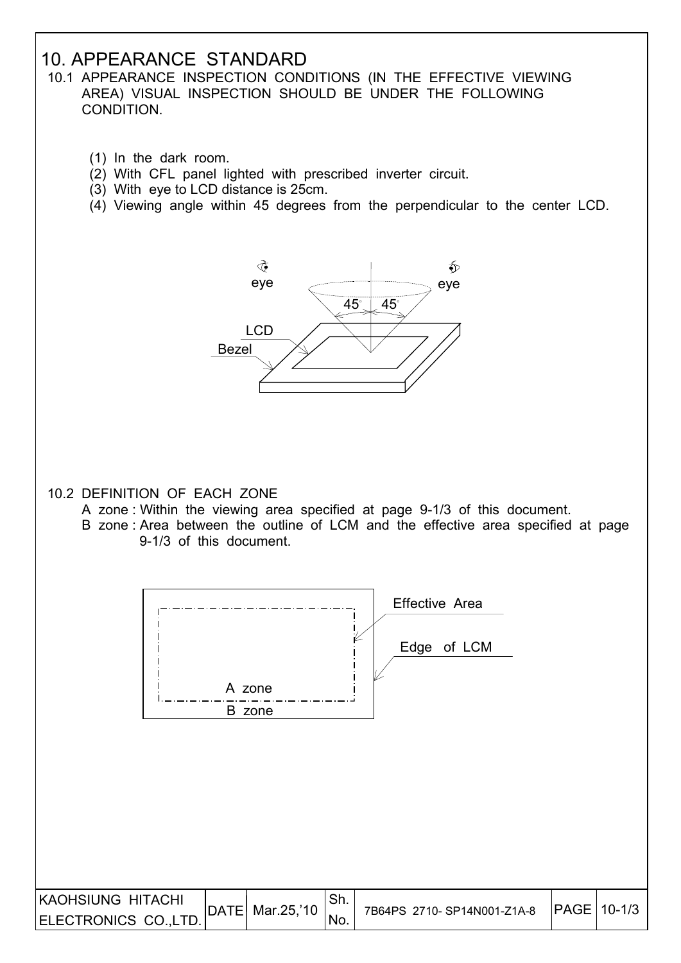## 10. APPEARANCE STANDARD

- 10.1 APPEARANCE INSPECTION CONDITIONS (IN THE EFFECTIVE VIEWING AREA) VISUAL INSPECTION SHOULD BE UNDER THE FOLLOWING CONDITION.
	- (1) In the dark room.
	- (2) With CFL panel lighted with prescribed inverter circuit.
	- (3) With eye to LCD distance is 25cm.
	- (4) Viewing angle within 45 degrees from the perpendicular to the center LCD.



- 10.2 DEFINITION OF EACH ZONE
	- A zone : Within the viewing area specified at page 9-1/3 of this document.
	- B zone : Area between the outline of LCM and the effective area specified at page 9-1/3 of this document.

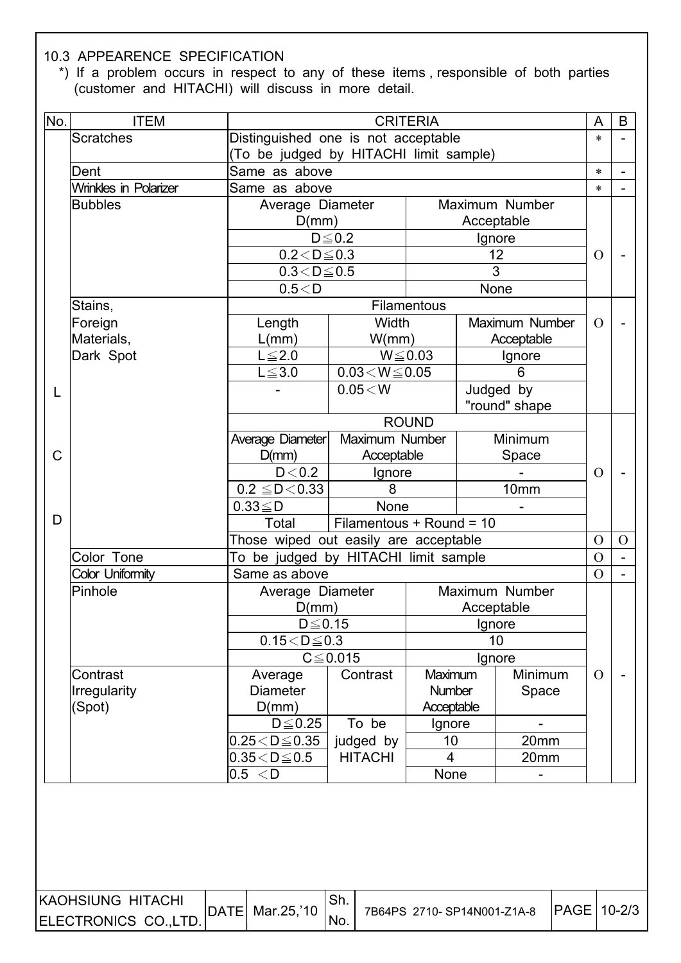#### 10.3 APPEARENCE SPECIFICATION

 $\overline{\phantom{a}}$ 

 \*) If a problem occurs in respect to any of these items , responsible of both parties (customer and HITACHI) will discuss in more detail.

| No. | <b>ITEM</b>                  |                                       |                                        | <b>CRITERIA</b>          |            |                | A              | B              |
|-----|------------------------------|---------------------------------------|----------------------------------------|--------------------------|------------|----------------|----------------|----------------|
|     | <b>Scratches</b>             | Distinguished one is not acceptable   |                                        |                          |            |                | $\ast$         |                |
|     |                              |                                       | (To be judged by HITACHI limit sample) |                          |            |                |                |                |
|     | Dent                         | Same as above                         |                                        |                          |            |                | $\ast$         |                |
|     | <b>Wrinkles in Polarizer</b> | Same as above                         |                                        |                          |            |                | $\ast$         |                |
|     | <b>Bubbles</b>               | Average Diameter                      |                                        |                          |            | Maximum Number |                |                |
|     |                              | D(mm)                                 |                                        |                          | Acceptable |                |                |                |
|     |                              |                                       | $D \leq 0.2$                           |                          | Ignore     |                |                |                |
|     |                              | $0.2 < D \le 0.3$                     |                                        |                          |            | 12             | $\Omega$       |                |
|     |                              | $0.3 \le D \le 0.5$                   |                                        |                          | 3          |                |                |                |
|     |                              | 0.5 < D                               |                                        |                          | None       |                |                |                |
|     | Stains,                      |                                       |                                        | Filamentous              |            |                |                |                |
|     | Foreign                      | Length                                | <b>Width</b>                           |                          |            | Maximum Number | $\Omega$       |                |
|     | Materials,                   | L(mm)                                 | W/mm)                                  |                          |            | Acceptable     |                |                |
|     | Dark Spot                    | $L \leq 2.0$<br>$L \le 3.0$           | $0.03\!<\!W\!\leq\!0.05$               | $W \le 0.03$             |            | Ignore<br>6    |                |                |
|     |                              |                                       | 0.05 < W                               |                          |            | Judged by      |                |                |
| L   |                              |                                       |                                        |                          |            | "round" shape  |                |                |
|     |                              |                                       |                                        | <b>ROUND</b>             |            |                |                |                |
|     |                              | Average Diameter                      | Maximum Number                         |                          |            | Minimum        |                |                |
| C   |                              | D(mm)                                 | Acceptable                             |                          |            | Space          |                |                |
|     |                              | D < 0.2                               | Ignore                                 |                          |            |                |                |                |
|     |                              | $0.2 \leq D < 0.33$                   | 8                                      |                          |            | 10mm           |                |                |
|     |                              | $0.33 \leq D$                         | None                                   |                          |            |                |                |                |
| D   |                              | Total                                 | Filamentous + Round = 10               |                          |            |                |                |                |
|     |                              | Those wiped out easily are acceptable |                                        |                          |            |                | $\mathcal{O}$  | $\mathcal{O}$  |
|     | Color Tone                   | To be judged by HITACHI limit sample  |                                        |                          |            |                | $\overline{O}$ | $\blacksquare$ |
|     | Color Uniformity             | Same as above                         |                                        |                          |            |                | $\overline{O}$ |                |
|     | Pinhole                      | Average Diameter                      |                                        |                          |            | Maximum Number |                |                |
|     |                              | D(mm)                                 |                                        |                          | Acceptable |                |                |                |
|     |                              | $D\!\leq\!0.15$                       |                                        |                          | Ignore     |                |                |                |
|     |                              | $0.15 < D \le 0.3$                    |                                        |                          |            | 10             |                |                |
|     |                              |                                       | $C \leq 0.015$                         |                          |            | Ignore         |                |                |
|     | Contrast                     | Average                               | Contrast                               | Maximum                  |            | Minimum        | $\Omega$       |                |
|     | Irregularity                 | <b>Diameter</b>                       |                                        | Number                   |            | Space          |                |                |
|     | (Spot)                       | D(mm)<br>$D \leq 0.25$                | To be                                  | Acceptable<br>Ignore     |            |                |                |                |
|     |                              | $0.25 < D \le 0.35$                   | judged by                              | 10                       |            | 20mm           |                |                |
|     |                              | $0.35\!<\!D\!\leq\!0.5$               | <b>HITACHI</b>                         | $\overline{\mathcal{L}}$ |            | 20mm           |                |                |
|     |                              | 0.5 < D                               |                                        | None                     |            |                |                |                |
|     |                              |                                       |                                        |                          |            |                |                |                |
|     |                              |                                       |                                        |                          |            |                |                |                |
|     |                              |                                       |                                        |                          |            |                |                |                |
|     |                              |                                       |                                        |                          |            |                |                |                |
|     |                              |                                       |                                        |                          |            |                |                |                |
|     |                              |                                       |                                        |                          |            |                |                |                |

| KAOHSIUNG HITACHI     | DATE  Mar.25,'10_ |     |                            | <b>IPAGE 10-2/3</b> |  |
|-----------------------|-------------------|-----|----------------------------|---------------------|--|
| ELECTRONICS CO., LTD. |                   | NO. | 7B64PS 2710-SP14N001-Z1A-8 |                     |  |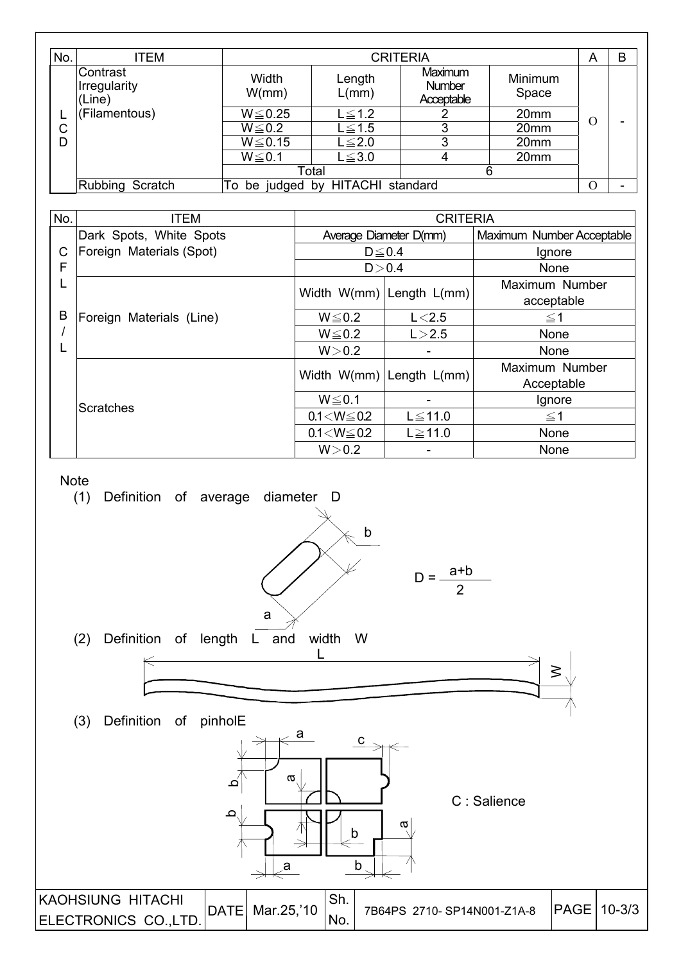| No. | ITEM                               |                                     | <b>CRITERIA</b>         |                                 |                  |   |  |  |
|-----|------------------------------------|-------------------------------------|-------------------------|---------------------------------|------------------|---|--|--|
|     | Contrast<br>Irregularity<br>(Line) | Width<br>W/mm)                      | Length<br>L/mm)         | Maximum<br>Number<br>Acceptable | Minimum<br>Space |   |  |  |
|     | (Filamentous)                      | $W \le 0.25$                        | $L \leq 1.2$            |                                 | 20 <sub>mm</sub> |   |  |  |
| С   |                                    | $W \le 0.2$                         | $\textrm{L}\!\leq\!1.5$ | 3                               | 20 <sub>mm</sub> | 0 |  |  |
| D   |                                    | $W \le 0.15$                        | $L \leq 2.0$            | 3                               | 20mm             |   |  |  |
|     |                                    | $W \le 0.1$                         | $L \leq 3.0$            | 4                               | 20mm             |   |  |  |
|     |                                    |                                     | Total                   |                                 | 6                |   |  |  |
|     | Rubbing Scratch                    | be judged by HITACHI standard<br>То |                         |                                 |                  |   |  |  |

| No. | <b>ITEM</b>              | <b>CRITERIA</b>   |                              |                           |  |
|-----|--------------------------|-------------------|------------------------------|---------------------------|--|
|     | Dark Spots, White Spots  |                   | Average Diameter D(mm)       | Maximum Number Acceptable |  |
| C   | Foreign Materials (Spot) |                   | $D \leq 0.4$                 | Ignore                    |  |
| F   |                          |                   | D > 0.4                      | None                      |  |
| L   |                          |                   | Width $W(mm)$ Length $L(mm)$ | Maximum Number            |  |
|     |                          |                   |                              | acceptable                |  |
| B   | Foreign Materials (Line) | $W \le 0.2$       | L < 2.5                      | $\leq$ 1                  |  |
|     |                          | $W \le 0.2$       | L > 2.5                      | None                      |  |
| L   |                          | W > 0.2           | -                            | <b>None</b>               |  |
|     |                          |                   | Width $W(mm)$ Length $L(mm)$ | Maximum Number            |  |
|     |                          |                   |                              | Acceptable                |  |
|     | <b>Scratches</b>         | $W \le 0.1$       |                              | Ignore                    |  |
|     |                          | $0.1 < W \le 0.2$ | $L \le 11.0$                 | $\leq$ 1                  |  |
|     |                          | $0.1 < W \le 0.2$ | $L \ge 11.0$                 | None                      |  |
|     |                          | W > 0.2           | -                            | None                      |  |



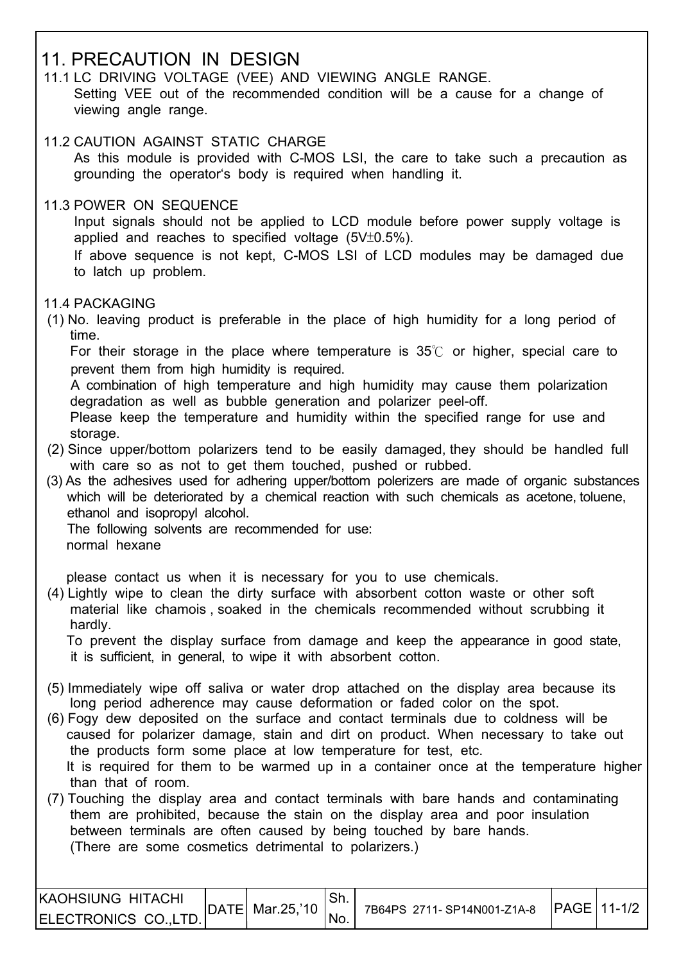## 11. PRECAUTION IN DESIGN

- 11.1 LC DRIVING VOLTAGE (VEE) AND VIEWING ANGLE RANGE. Setting VEE out of the recommended condition will be a cause for a change of viewing angle range.
- 11.2 CAUTION AGAINST STATIC CHARGE As this module is provided with C-MOS LSI, the care to take such a precaution as grounding the operator's body is required when handling it.
- 11.3 POWER ON SEQUENCE

 Input signals should not be applied to LCD module before power supply voltage is applied and reaches to specified voltage  $(5V±0.5%)$ .

 If above sequence is not kept, C-MOS LSI of LCD modules may be damaged due to latch up problem.

11.4 PACKAGING

 $\overline{\phantom{a}}$ 

 (1) No. leaving product is preferable in the place of high humidity for a long period of time.

For their storage in the place where temperature is  $35^{\circ}$  or higher, special care to prevent them from high humidity is required.

 A combination of high temperature and high humidity may cause them polarization degradation as well as bubble generation and polarizer peel-off.

 Please keep the temperature and humidity within the specified range for use and storage.

- (2) Since upper/bottom polarizers tend to be easily damaged, they should be handled full with care so as not to get them touched, pushed or rubbed.
- (3) As the adhesives used for adhering upper/bottom polerizers are made of organic substances which will be deteriorated by a chemical reaction with such chemicals as acetone toluene. ethanol and isopropyl alcohol.

 The following solvents are recommended for use: normal hexane

please contact us when it is necessary for you to use chemicals.

 (4) Lightly wipe to clean the dirty surface with absorbent cotton waste or other soft material like chamois , soaked in the chemicals recommended without scrubbing it hardly.

 To prevent the display surface from damage and keep the appearance in good state, it is sufficient, in general, to wipe it with absorbent cotton.

- (5) Immediately wipe off saliva or water drop attached on the display area because its long period adherence may cause deformation or faded color on the spot.
- (6) Fogy dew deposited on the surface and contact terminals due to coldness will be caused for polarizer damage, stain and dirt on product. When necessary to take out the products form some place at low temperature for test, etc. It is required for them to be warmed up in a container once at the temperature higher than that of room.
- (7) Touching the display area and contact terminals with bare hands and contaminating them are prohibited, because the stain on the display area and poor insulation between terminals are often caused by being touched by bare hands. (There are some cosmetics detrimental to polarizers.)

| <b>IKAOHSIUNG HITACHI</b> | DATE  Mar.25,'10 | 'Sh. | 7B64PS 2711-SP14N001-Z1A-8 | <b>IPAGE 11-1/2</b> |  |
|---------------------------|------------------|------|----------------------------|---------------------|--|
| ELECTRONICS CO., LTD.     |                  | 'No. |                            |                     |  |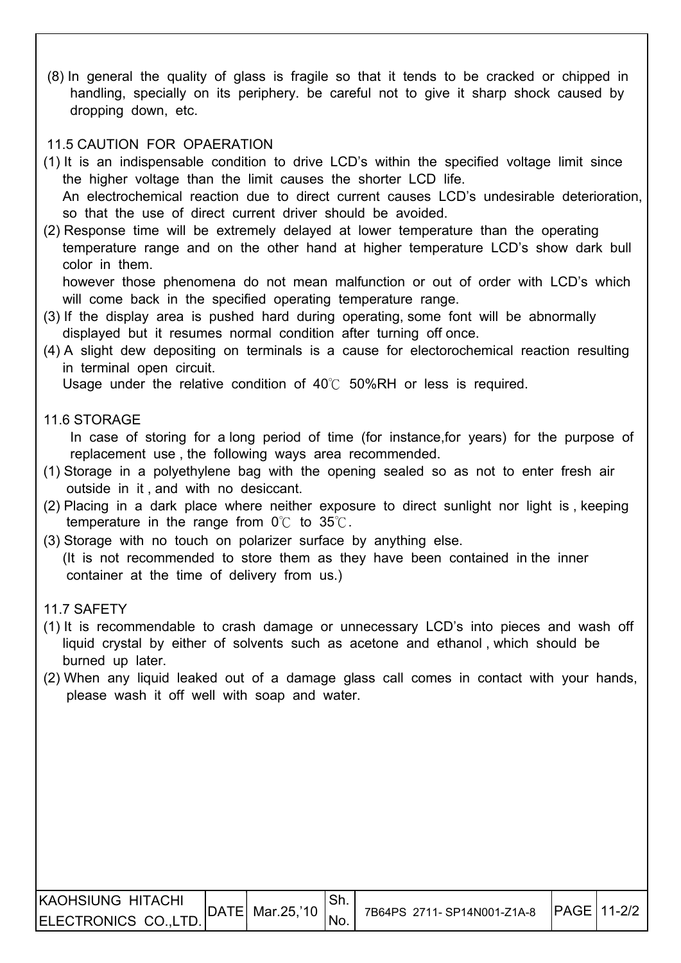(8) In general the quality of glass is fragile so that it tends to be cracked or chipped in handling, specially on its periphery. be careful not to give it sharp shock caused by dropping down, etc.

#### 11.5 CAUTION FOR OPAERATION

- (1) It is an indispensable condition to drive LCD's within the specified voltage limit since the higher voltage than the limit causes the shorter LCD life. An electrochemical reaction due to direct current causes LCD's undesirable deterioration, so that the use of direct current driver should be avoided.
- (2) Response time will be extremely delayed at lower temperature than the operating temperature range and on the other hand at higher temperature LCD's show dark bull color in them.

 however those phenomena do not mean malfunction or out of order with LCD's which will come back in the specified operating temperature range.

- (3) If the display area is pushed hard during operating, some font will be abnormally displayed but it resumes normal condition after turning off once.
- (4) A slight dew depositing on terminals is a cause for electorochemical reaction resulting in terminal open circuit.

Usage under the relative condition of  $40^{\circ}$  50%RH or less is required.

#### 11.6 STORAGE

 In case of storing for a long period of time (for instance,for years) for the purpose of replacement use , the following ways area recommended.

- (1) Storage in a polyethylene bag with the opening sealed so as not to enter fresh air outside in it , and with no desiccant.
- (2) Placing in a dark place where neither exposure to direct sunlight nor light is , keeping temperature in the range from  $0^{\circ}$  to  $35^{\circ}$ .
- (3) Storage with no touch on polarizer surface by anything else. (It is not recommended to store them as they have been contained in the inner container at the time of delivery from us.)

#### 11.7 SAFETY

- (1) It is recommendable to crash damage or unnecessary LCD's into pieces and wash off liquid crystal by either of solvents such as acetone and ethanol , which should be burned up later.
- (2) When any liquid leaked out of a damage glass call comes in contact with your hands, please wash it off well with soap and water.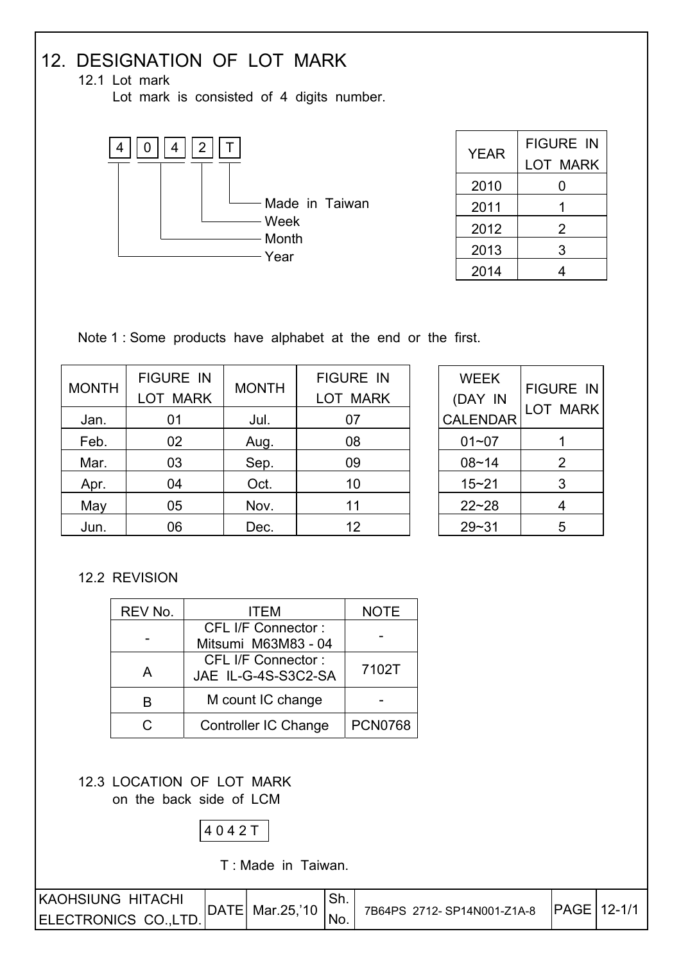# 12. DESIGNATION OF LOT MARK

12.1 Lot mark

Lot mark is consisted of 4 digits number.



| <b>YEAR</b> | <b>FIGURE IN</b><br><b>LOT MARK</b> |
|-------------|-------------------------------------|
| 2010        | 0                                   |
| 2011        |                                     |
| 2012        | 2                                   |
| 2013        | 3                                   |
| 2014        |                                     |

Note 1 : Some products have alphabet at the end or the first.

|              | <b>FIGURE IN</b> |              | <b>FIGURE IN</b> |
|--------------|------------------|--------------|------------------|
| <b>MONTH</b> | <b>LOT MARK</b>  | <b>MONTH</b> | <b>LOT MARK</b>  |
| Jan.         | 01               | Jul.         | 07               |
| Feb.         | 02               | Aug.         | 08               |
| Mar.         | 03               | Sep.         | 09               |
| Apr.         | 04               | Oct.         | 10               |
| May          | 05               | Nov.         | 11               |
| Jun.         | 06               | Dec.         | 12               |

| <b>WEEK</b><br>(DAY IN<br><b>CALENDAR</b> | <b>FIGURE IN</b><br>LOT MARK |
|-------------------------------------------|------------------------------|
| $01 - 07$                                 |                              |
| $08 - 14$                                 | 2                            |
| $15 - 21$                                 | 3                            |
| $22 - 28$                                 | 4                            |
| 29~31                                     | 5                            |

#### 12.2 REVISION

| REV No. | ITEM                                             | <b>NOTE</b>    |
|---------|--------------------------------------------------|----------------|
|         | <b>CFL I/F Connector:</b><br>Mitsumi M63M83 - 04 |                |
| A       | <b>CFL I/F Connector:</b><br>JAE IL-G-4S-S3C2-SA | 7102T          |
| B       | M count IC change                                |                |
| C.      | <b>Controller IC Change</b>                      | <b>PCN0768</b> |

 12.3 LOCATION OF LOT MARK on the back side of LCM



T : Made in Taiwan.

| <b>KAOHSIUNG HITACHI</b> | DATE  Mar.25,'10 |                  | 7B64PS 2712-SP14N001-Z1A-8 | <b>IPAGE 12-1/1</b> |  |
|--------------------------|------------------|------------------|----------------------------|---------------------|--|
| ELECTRONICS CO., LTD.    |                  | <sup>I</sup> No. |                            |                     |  |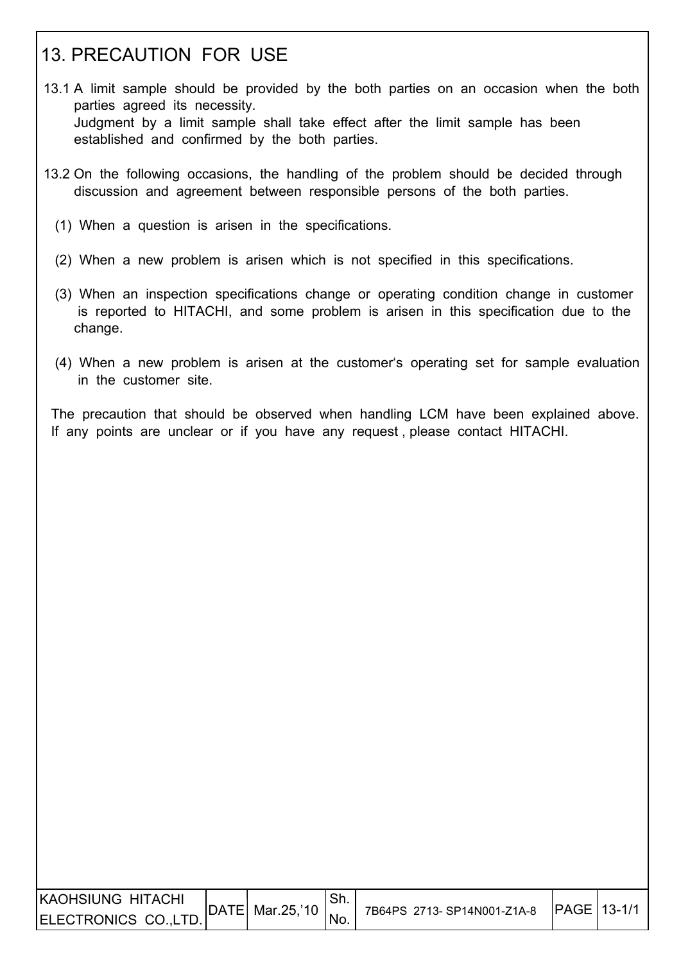## 13. PRECAUTION FOR USE

- 13.1 A limit sample should be provided by the both parties on an occasion when the both parties agreed its necessity. Judgment by a limit sample shall take effect after the limit sample has been established and confirmed by the both parties.
- 13.2 On the following occasions, the handling of the problem should be decided through discussion and agreement between responsible persons of the both parties.
	- (1) When a question is arisen in the specifications.
	- (2) When a new problem is arisen which is not specified in this specifications.
	- (3) When an inspection specifications change or operating condition change in customer is reported to HITACHI, and some problem is arisen in this specification due to the change.
	- (4) When a new problem is arisen at the customer's operating set for sample evaluation in the customer site.

 The precaution that should be observed when handling LCM have been explained above. If any points are unclear or if you have any request , please contact HITACHI.

| KAOHSIUNG HITACHI     |                  |     |                            |                     |  |
|-----------------------|------------------|-----|----------------------------|---------------------|--|
| ELECTRONICS CO., LTD. | DATE  Mar.25,'10 | No. | 7B64PS 2713-SP14N001-Z1A-8 | <b>IPAGE 13-1/1</b> |  |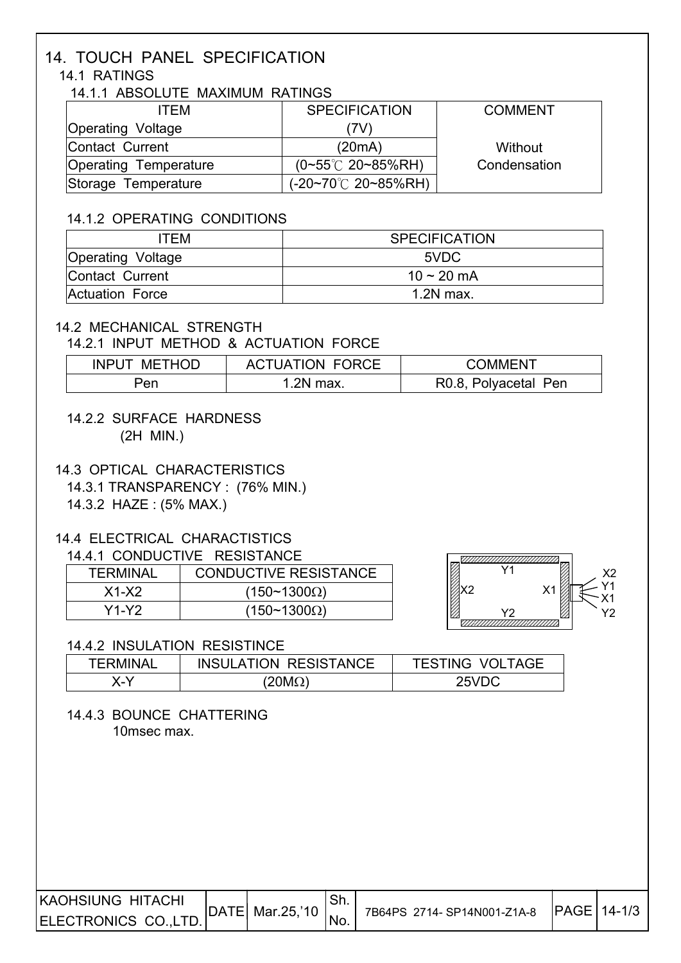# 14. TOUCH PANEL SPECIFICATION

## 14.1 RATINGS

I

I

I

I

#### 14.1.1 ABSOLUTE MAXIMUM RATINGS

| ITFM                     | <b>SPECIFICATION</b>            | <b>COMMENT</b> |
|--------------------------|---------------------------------|----------------|
| <b>Operating Voltage</b> | 7V)                             |                |
| Contact Current          | (20mA)                          | Without        |
| Operating Temperature    | $(0~55^{\circ}C$ 20~85%RH)      | Condensation   |
| Storage Temperature      | $(-20-70^{\circ}C \ 20-85\%RH)$ |                |

#### 14.1.2 OPERATING CONDITIONS

| ITEM                     | <b>SPECIFICATION</b> |
|--------------------------|----------------------|
| <b>Operating Voltage</b> | 5VDC                 |
| Contact Current          | 10 ~ 20 mA           |
| Actuation Force          | $1.2N$ max.          |

#### 14.2 MECHANICAL STRENGTH

#### 14.2.1 INPUT METHOD & ACTUATION FORCE

| <b>METHOD</b><br><b>INPUT</b> | <b>ACTUATION FORCE</b> | COMMENT              |
|-------------------------------|------------------------|----------------------|
| Pen                           | .2N max                | R0.8, Polyacetal Pen |

 14.2.2 SURFACE HARDNESS (2H MIN.)

#### 14.3 OPTICAL CHARACTERISTICS

14.3.1 TRANSPARENCY : (76% MIN.)

14.3.2 HAZE : (5% MAX.)

#### 14.4 ELECTRICAL CHARACTISTICS

#### 14.4.1 CONDUCTIVE RESISTANCE

| <b>TERMINAL</b> | <b>CONDUCTIVE RESISTANCE</b> |
|-----------------|------------------------------|
| $X1-X2$         | $(150~1300\Omega)$           |
| Y1-Y2.          | $(150~1300\Omega)$           |



#### 14.4.2 INSULATION RESISTINCE

| TFRMINAI | <b>INSULATION RESISTANCE</b> | <b>TESTING VOLTAGE</b> |
|----------|------------------------------|------------------------|
|          | $20\mathsf{M}\Omega$         | 25VDC                  |

#### 14.4.3 BOUNCE CHATTERING 10msec max.

| IKAOHSIUNG HITACHI   |                         |      |                            | <b>IPAGE 14-1/3</b> |  |
|----------------------|-------------------------|------|----------------------------|---------------------|--|
| ELECTRONICS CO.,LTD. | $ DATE $ Mar.25,'10 $ $ | 'No. | 7B64PS 2714-SP14N001-Z1A-8 |                     |  |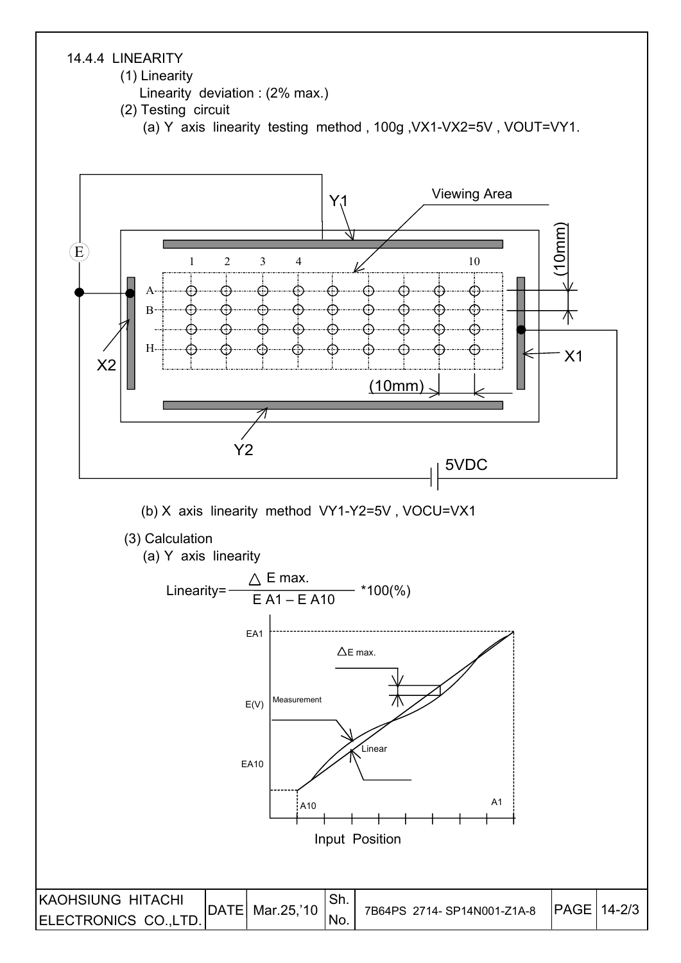